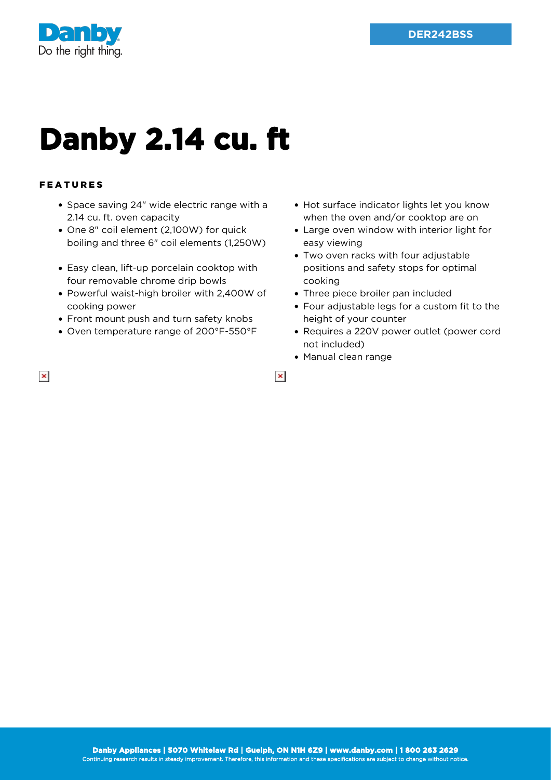

## **Danby 2.14 cu. ft**

## FEATURES

 $\pmb{\times}$ 

- Space saving 24" wide electric range with a 2.14 cu. ft. oven capacity
- One 8" coil element (2,100W) for quick boiling and three 6" coil elements (1,250W)
- Easy clean, lift-up porcelain cooktop with four removable chrome drip bowls
- Powerful waist-high broiler with 2,400W of cooking power
- Front mount push and turn safety knobs
- Oven temperature range of 200°F-550°F
- Hot surface indicator lights let you know when the oven and/or cooktop are on
- Large oven window with interior light for easy viewing
- Two oven racks with four adjustable positions and safety stops for optimal cooking
- Three piece broiler pan included
- Four adjustable legs for a custom fit to the height of your counter
- Requires a 220V power outlet (power cord not included)
- Manual clean range

 $\pmb{\times}$